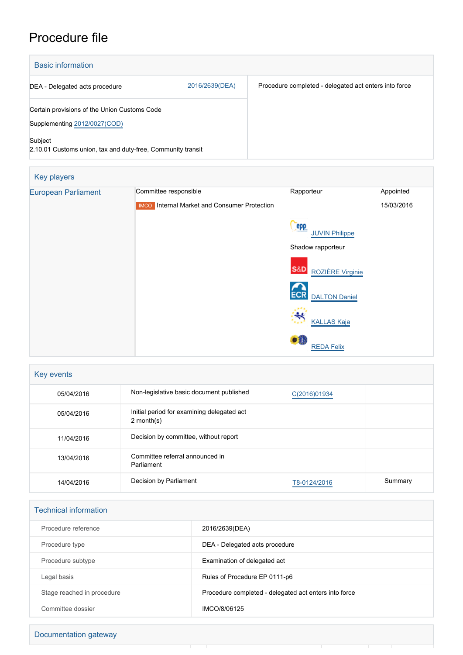## Procedure file

| <b>Basic information</b>                                                                |                |                                                       |
|-----------------------------------------------------------------------------------------|----------------|-------------------------------------------------------|
| DEA - Delegated acts procedure                                                          | 2016/2639(DEA) | Procedure completed - delegated act enters into force |
| Certain provisions of the Union Customs Code<br>Supplementing 2012/0027(COD)<br>Subject |                |                                                       |
| 2.10.01 Customs union, tax and duty-free, Community transit                             |                |                                                       |

| Key players                |                                                     |                                    |            |
|----------------------------|-----------------------------------------------------|------------------------------------|------------|
| <b>European Parliament</b> | Committee responsible                               | Rapporteur                         | Appointed  |
|                            | <b>IMCO</b> Internal Market and Consumer Protection |                                    | 15/03/2016 |
|                            |                                                     | epp<br><b>JUVIN Philippe</b>       |            |
|                            |                                                     | Shadow rapporteur                  |            |
|                            |                                                     | <b>S&amp;D</b><br>ROZIÈRE Virginie |            |
|                            |                                                     | <b>ECR</b><br><b>DALTON Daniel</b> |            |
|                            |                                                     | ₩<br><b>KALLAS Kaja</b>            |            |
|                            |                                                     | ●記<br><b>REDA Felix</b>            |            |

| Key events |                                                            |              |         |
|------------|------------------------------------------------------------|--------------|---------|
| 05/04/2016 | Non-legislative basic document published                   | C(2016)01934 |         |
| 05/04/2016 | Initial period for examining delegated act<br>$2$ month(s) |              |         |
| 11/04/2016 | Decision by committee, without report                      |              |         |
| 13/04/2016 | Committee referral announced in<br>Parliament              |              |         |
| 14/04/2016 | Decision by Parliament                                     | T8-0124/2016 | Summary |

| <b>Technical information</b> |                                                       |
|------------------------------|-------------------------------------------------------|
| Procedure reference          | 2016/2639(DEA)                                        |
| Procedure type               | DEA - Delegated acts procedure                        |
| Procedure subtype            | Examination of delegated act                          |
| Legal basis                  | Rules of Procedure EP 0111-p6                         |
| Stage reached in procedure   | Procedure completed - delegated act enters into force |
| Committee dossier            | IMCO/8/06125                                          |

| Documentation gateway |  |
|-----------------------|--|
|                       |  |